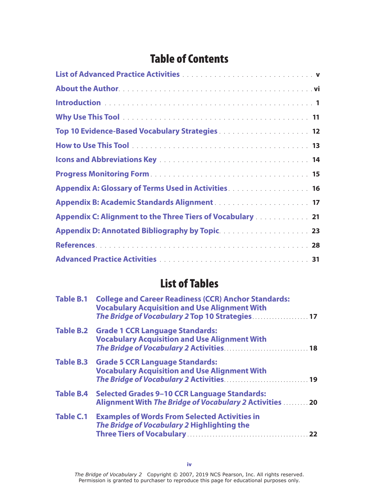## Table of Contents

| Top 10 Evidence-Based Vocabulary Strategies 12                                                                                                                                                             |
|------------------------------------------------------------------------------------------------------------------------------------------------------------------------------------------------------------|
|                                                                                                                                                                                                            |
|                                                                                                                                                                                                            |
|                                                                                                                                                                                                            |
| Appendix A: Glossary of Terms Used in Activities <b>Activities Activities Activities Activities Activities Activities Activities Activities Activities Activities Activities Activities Activities Act</b> |
|                                                                                                                                                                                                            |
| Appendix C: Alignment to the Three Tiers of Vocabulary 21                                                                                                                                                  |
|                                                                                                                                                                                                            |
|                                                                                                                                                                                                            |
|                                                                                                                                                                                                            |

## List of Tables

|                  | Table B.1 College and Career Readiness (CCR) Anchor Standards:<br><b>Vocabulary Acquisition and Use Alignment With</b><br>The Bridge of Vocabulary 2 Top 10 Strategies 17 |  |  |
|------------------|---------------------------------------------------------------------------------------------------------------------------------------------------------------------------|--|--|
|                  | Table B.2 Grade 1 CCR Language Standards:<br><b>Vocabulary Acquisition and Use Alignment With</b>                                                                         |  |  |
|                  | Table B.3 Grade 5 CCR Language Standards:<br><b>Vocabulary Acquisition and Use Alignment With</b>                                                                         |  |  |
| <b>Table B.4</b> | <b>Selected Grades 9-10 CCR Language Standards:</b><br>Alignment With The Bridge of Vocabulary 2 Activities  20                                                           |  |  |
| <b>Table C.1</b> | <b>Examples of Words From Selected Activities in</b><br>The Bridge of Vocabulary 2 Highlighting the                                                                       |  |  |

*The Bridge of Vocabulary 2* Copyright © 2007, 2019 NCS Pearson, Inc. All rights reserved. Permission is granted to purchaser to reproduce this page for educational purposes only.